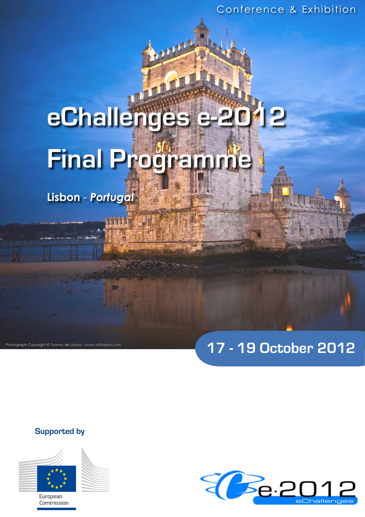# **eChallenges e-2012 Final Programme**

**Lisbon** - *Portugal*

# **17 - 19 October 2012**

**Supported by**

Photograph Copyright © Turismo de Lisboa - www.visitlisboa.com



European Commission

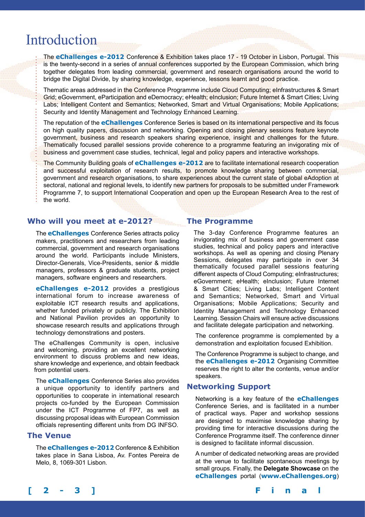# Introduction

The **eChallenges e-2012** Conference & Exhibition takes place 17 - 19 October in Lisbon, Portugal. This is the twenty-second in a series of annual conferences supported by the European Commission, which bring together delegates from leading commercial, government and research organisations around the world to bridge the Digital Divide, by sharing knowledge, experience, lessons learnt and good practice.

Thematic areas addressed in the Conference Programme include Cloud Computing; eInfrastructures & Smart Grid; eGovernment, eParticipation and eDemocracy; eHealth; eInclusion; Future Internet & Smart Cities; Living Labs; Intelligent Content and Semantics; Networked, Smart and Virtual Organisations; Mobile Applications; Security and Identity Management and Technology Enhanced Learning.

The reputation of the **eChallenges** Conference Series is based on its international perspective and its focus on high quality papers, discussion and networking. Opening and closing plenary sessions feature keynote government, business and research speakers sharing experience, insight and challenges for the future. Thematically focused parallel sessions provide coherence to a programme featuring an invigorating mix of business and government case studies, technical, legal and policy papers and interactive workshops.

The Community Building goals of **eChallenges e-2012** are to facilitate international research cooperation and successful exploitation of research results, to promote knowledge sharing between commercial, government and research organisations, to share experiences about the current state of global eAdoption at sectoral, national and regional levels, to identify new partners for proposals to be submitted under Framework Programme 7, to support International Cooperation and open up the European Research Area to the rest of the world.

# **Who will you meet at e-2012?**

The **eChallenges** Conference Series attracts policy makers, practitioners and researchers from leading commercial, government and research organisations around the world. Participants include Ministers, Director-Generals, Vice-Presidents, senior & middle managers, professors & graduate students, project managers, software engineers and researchers.

**eChallenges e-2012** provides a prestigious international forum to increase awareness of exploitable ICT research results and applications, whether funded privately or publicly. The Exhibition and National Pavilion provides an opportunity to showcase research results and applications through technology demonstrations and posters.

The eChallenges Community is open, inclusive and welcoming, providing an excellent networking environment to discuss problems and new ideas, share knowledge and experience, and obtain feedback from potential users.

The **eChallenges** Conference Series also provides a unique opportunity to identify partners and opportunities to cooperate in international research projects co-funded by the European Commission under the ICT Programme of FP7, as well as discussing proposal ideas with European Commission officials representing different units from DG INFSO.

# **The Venue**

The **eChallenges e-2012** Conference & Exhibition takes place in Sana Lisboa, Av. Fontes Pereira de Melo, 8, 1069-301 Lisbon.

# **The Programme**

The 3-day Conference Programme features an invigorating mix of business and government case studies, technical and policy papers and interactive workshops. As well as opening and closing Plenary Sessions, delegates may participate in over 34 thematically focused parallel sessions featuring different aspects of Cloud Computing; eInfrastructures; eGovernment; eHealth; eInclusion; Future Internet & Smart Cities; Living Labs; Intelligent Content and Semantics; Networked, Smart and Virtual Organisations; Mobile Applications; Security and Identity Management and Technology Enhanced Learning. Session Chairs will ensure active discussions and facilitate delegate participation and networking.

The conference programme is complemented by a demonstration and exploitation focused Exhibition.

The Conference Programme is subject to change, and the **eChallenges e-2012** Organising Committee reserves the right to alter the contents, venue and/or speakers.

# **Networking Support**

Networking is a key feature of the **eChallenges** Conference Series, and is facilitated in a number of practical ways. Paper and workshop sessions are designed to maximise knowledge sharing by providing time for interactive discussions during the Conference Programme itself. The conference dinner is designed to facilitate informal discussion.

A number of dedicated networking areas are provided at the venue to facilitate spontaneous meetings by small groups. Finally, the **Delegate Showcase** on the **eChallenges** portal (**www.eChallenges.org**)

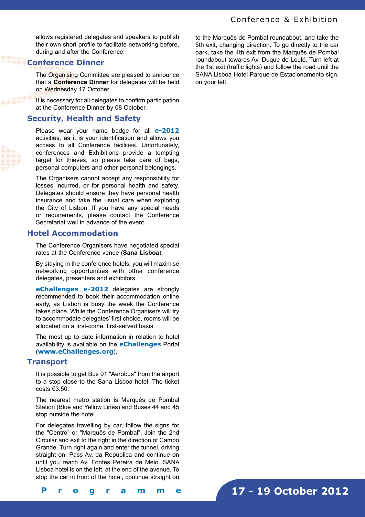allows registered delegates and speakers to publish their own short profile to facilitate networking before, during and after the Conference.

# **Conference Dinner**

The Organising Committee are pleased to announce that a **Conference Dinner** for delegates will be held on Wednesday 17 October.

It is necessary for all delegates to confirm participation at the Conference Dinner by 08 October.

# **Security, Health and Safety**

Please wear your name badge for all **e-2012**  activities, as it is your identification and allows you access to all Conference facilities. Unfortunately, conferences and Exhibitions provide a tempting target for thieves, so please take care of bags, personal computers and other personal belongings.

The Organisers cannot accept any responsibility for losses incurred, or for personal health and safety. Delegates should ensure they have personal health insurance and take the usual care when exploring the City of Lisbon. If you have any special needs or requirements, please contact the Conference Secretariat well in advance of the event.

# **Hotel Accommodation**

The Conference Organisers have negotiated special rates at the Conference venue (**Sana Lisboa**).

By staying in the conference hotels, you will maximise networking opportunities with other conference delegates, presenters and exhibitors.

**eChallenges e-2012** delegates are strongly recommended to book their accommodation online early, as Lisbon is busy the week the Conference takes place. While the Conference Organisers will try to accommodate delegates' first choice, rooms will be allocated on a first-come, first-served basis.

The most up to date information in relation to hotel availability is available on the **eChallenges** Portal (**www.eChallenges.org**).

# **Transport**

It is possible to get Bus 91 "Aerobus" from the airport to a stop close to the Sana Lisboa hotel. The ticket costs  $\epsilon$ 3.50.

The nearest metro station is Marquês de Pombal Station (Blue and Yellow Lines) and Buses 44 and 45 stop outside the hotel.

For delegates travelling by car, follow the signs for the "Centro" or "Marquês de Pombal". Join the 2nd Circular and exit to the right in the direction of Campo Grande. Turn right again and enter the tunnel, driving straight on. Pass Av. da República and continue on until you reach Av. Fontes Pereira de Melo. SANA Lisboa hotel is on the left, at the end of the avenue. To stop the car in front of the hotel, continue straight on

to the Marquês de Pombal roundabout, and take the 5th exit, changing direction. To go directly to the car park, take the 4th exit from the Marquês de Pombal roundabout towards Av. Duque de Loulé. Turn left at the 1st exit (traffic lights) and follow the road until the SANA Lisboa Hotel Parque de Estacionamento sign, on your left.

**17 - 19 October 2012**

**[ 2 - 3 ] F i n a l P r o g r a m m e**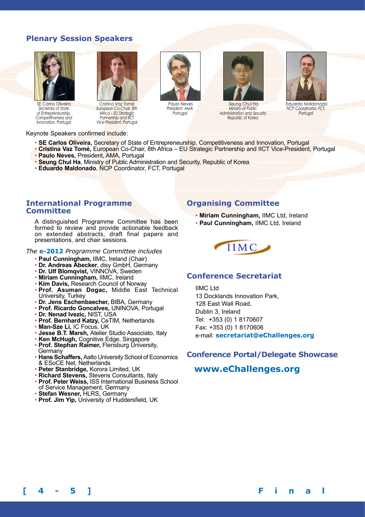# **Plenary Session Speakers**



SE Carlos Oliveira *Secretary of State of Entrepreneurship, Competitiveness and Innovation, Portugal* 



Cristina Vaz Tomé *European Co-Chair, 8th Africa – EU Strategic Partnership and IICT Vice-President, Portugal* 



• **SE Carlos Oliveira,** Secretary of State of Entrepreneurship, Competitiveness and Innovation, Portugal

Paulo Neves *President, AMA* **Portugal** 

- **Cristina Vaz Tomé,** European Co-Chair, 8th Africa EU Strategic Partnership and IICT Vice-President, Portugal • **Paulo Neves,** President, AMA, Portugal
- **Seung Chul Ha**, Ministry of Public Administration and Security, Republic of Korea
- **Eduardo Maldonado**, NCP Coordinator, FCT, Portugal

# **International Programme Committee**

A distinguished Programme Committee has been formed to review and provide actionable feedback on extended abstracts, draft final papers and presentations, and chair sessions.

# *The* **e-2012** *Programme Committee includes*

- **Paul Cunningham,** IIMC, Ireland (Chair)
- **Dr. Andreas Abecker**, disy GmbH, Germany
- **Dr. Ulf Blomqvist,** VINNOVA, Sweden
- **Miriam Cunningham,** IIMC, Ireland
- **Kim Davis,** Research Council of Norway
- **Prof. Asuman Dogac,** Middle East Technical University, Turkey
- **Dr. Jens Eschenbaecher,** BIBA, Germany
- **Prof. Ricardo Goncalves,** UNINOVA, Portugal
- **Dr. Nenad Ivezic,** NIST, USA
- **Prof. Bernhard Katzy,** CeTIM, Netherlands
- **Man-Sze Li,** IC Focus, UK
- **Jesse B.T. Marsh,** Atelier Studio Associato, Italy
- **Ken McHugh,** Cognitive Edge, Singapore
- **Prof. Stephan Raimer,** Flensburg University, Germany
- **Hans Schaffers,** Aalto University School of Economics & ESoCE Net, Netherlands
- **Peter Stanbridge,** Korora Limited, UK
- **Richard Stevens,** Stevens Consultants, Italy
- **Prof. Peter Weiss,** ISS International Business School of Service Management, Germany
- **Stefan Wesner,** HLRS, Germany
- **Prof. Jim Yip,** University of Huddersfield, UK

# **Organising Committee**

• **Miriam Cunningham,** IIMC Ltd, Ireland • **Paul Cunningham,** IIMC Ltd, Ireland



Seung Chul Ha *Ministry of Public Administration and Security Republic of Korea* 

# **Conference Secretariat**

IIMC Ltd 13 Docklands Innovation Park, 128 East Wall Road, Dublin 3, Ireland Tel: +353 (0) 1 8170607 Fax: +353 (0) 1 8170606 e-mail: **secretariat@eChallenges.org**

# **Conference Portal/Delegate Showcase**

# **www.eChallenges.org**



Eduardo Maldonado *NCP Coordinator, FCT, <u>Portugal</u>* 

**[ 4 - 5 ] F i n a l P r o g r a m m e**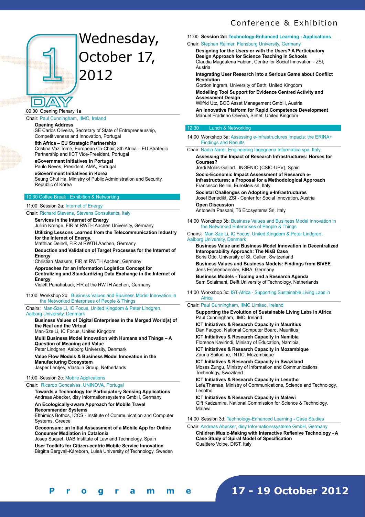# Wednesday, October 17, 2012

09:00 Opening Plenary 1a

# Chair: Paul Cunningham, IIMC, Ireland

**Opening Address** 

SE Carlos Oliveira, Secretary of State of Entrepreneurship, Competitiveness and Innovation, Portugal

**8th Africa – EU Strategic Partnership**  Cristina Vaz Tomé, European Co-Chair, 8th Africa – EU Strategic Partnership and IICT Vice-President, Portugal

# **eGovernment Initiatives in Portugal**

Paulo Neves, President, AMA, Portugal **eGovernment Initiatives in Korea**  Seung Chul Ha, Ministry of Public Administration and Security, Republic of Korea

# 10:30 Coffee Break : Exhibition & Networking

## 11:00 Session 2a: Internet of Energy

Chair: Richard Stevens, Stevens Consultants, Italy

**Services in the Internet of Energy**  Julian Krenge, FIR at RWTH Aachen University, Germany **Utilizing Lessons Learned from the Telecommunication Industry** 

**for the Internet of Energy.** 

Matthias Deindl, FIR at RWTH Aachen, Germany

**Deduction and Validation of Target Processes for the Internet of Energy** 

Christian Maasem, FIR at RWTH Aachen, Germany **Approaches for an Information Logistics Concept for Centralizing and Standardizing Data Exchange in the Internet of Energy** 

Violett Panahabadi, FIR at the RWTH Aachen, Germany

11:00 Workshop 2b: Business Values and Business Model Innovation in the Networked Enterprises of People & Things

Chairs: Man-Sze Li, IC Focus, United Kingdom & Peter Lindgren, Aalborg University, Denmark

# **Business Values of Digital Enterprises in the Merged World(s) of the Real and the Virtual**

Man-Sze Li, IC Focus, United Kingdom **Multi Business Model Innovation with Humans and Things – A Question of Meaning and Value**  Peter Lindgren, Aalborg University, Denmark **Value Flow Models & Business Model Innovation in the Manufacturing Ecosystem** 

Jasper Lentjes, Vlastuin Group, Netherlands

#### 11:00 Session 2c: Mobile Applications

## Chair: Ricardo Goncalves, UNINOVA, Portugal

**Towards a Technology for Participatory Sensing Applications**  Andreas Abecker, disy Informationssysteme GmbH, Germany

**An Ecologically-aware Approach for Mobile Travel Recommender Systems** 

Efthimios Bothos, ICCS - Institute of Communication and Computer Systems, Greece

**Geoconsum: an Initial Assessment of a Mobile App for Online Consumer Mediation in Catalonia** 

Josep Suquet, UAB Institute of Law and Technology, Spain **User Toolkits for Citizen-centric Mobile Service Innovation**  Birgitta Bergvall-Kåreborn, Luleå University of Technology, Sweden

# 11:00 **Session 2d: Technology-Enhanced Learning - Applications** Chair: Stephan Raimer, Flensburg University, Germany

**Designing for the Users or with the Users? A Participatory Design Approach for Science Teaching in Schools**  Claudia Magdalena Fabian, Centre for Social Innovation - ZSI, Austria

**Integrating User Research into a Serious Game about Conflict Resolution** 

Gordon Ingram, University of Bath, United Kingdom

**Modelling Tool Support for Evidence Centred Activity and Assessment Design** 

Wilfrid Utz, BOC Asset Management GmbH, Austria **An Innovative Platform for Rapid Competence Development**  Manuel Fradinho Oliveira, Sintef, United Kingdom

#### 12:30 Lunch & Networking

14:00 Workshop 3a: Assessing e-Infrastructures Impacts: the ERINA+ Findings and Results

Chair: Nadia Nardi, Engineering Ingegneria Informatica spa, Italy

**Assessing the Impact of Research Infrastructures: Horses for Courses?** 

Jordi Molas-Gallart , INGENIO (CSIC-UPV), Spain **Socio-Economic Impact Assessment of Research e-Infrastructures: a Proposal for a Methodological Approach**  Francesco Bellini, Eurokleis srl, Italy

**Societal Challenges on Adopting e-Infrastructures**  Josef Benedikt, ZSI - Center for Social Innovation, Austria **Open Discussion** 

Antonella Passani, T6 Ecosystems Srl, Italy

14:00 Workshop 3b: Business Values and Business Model Innovation in the Networked Enterprises of People & Things

Chairs: Man-Sze Li, IC Focus, United Kingdom & Peter Lindgren, Aalborg University, Denmark

**Business Value and Business Model Innovation in Decentralized Interoperability Approach: The NisB Case**  Boris Otto, University of St. Gallen, Switzerland

**Business Values and Business Models: Findings from BIVEE**  Jens Eschenbaecher, BIBA, Germany

**Business Models - Tooling and a Research Agenda**  Sam Solaimani, Delft University of Technology, Netherlands

14:00 Workshop 3c: IST-Africa - Supporting Sustainable Living Labs in **Africa** 

# Chair: Paul Cunningham, IIMC Limited, Ireland

**Supporting the Evolution of Sustainable Living Labs in Africa** Paul Cunningham, IIMC, Ireland

**ICT Initiatives & Research Capacity in Mauritius**  Dan Faugoo, National Computer Board, Mauritius

**ICT Initiatives & Research Capacity in Namibia**  Florence Kavirindi, Ministry of Education, Namibia

**ICT Initiatives & Research Capacity in Mozambique**  Zauria Saifodine, INTIC, Mozambique

**ICT Initiatives & Research Capacity in Swaziland**  Moses Zungu, Ministry of Information and Communications Technology, Swaziland

**ICT Initiatives & Research Capacity in Lesotho** Lefa Thamae, Ministry of Communications, Science and Technology, Lesotho

**ICT Initiatives & Research Capacity in Malawi**  Gift Kadzamira, National Commission for Science & Technology, Malawi

14:00 Session 3d: Technology-Enhanced Learning - Case Studies

Chair: Andreas Abecker, disy Informationssysteme GmbH, Germany **Children Music-Making with Interactive Reflexive Technology - A Case Study of Spiral Model of Specification**  Gualtiero Volpe, DIST, Italy

**[ 4 - 5 ] F i n a l P r o g r a m m e**

# **17 - 19 October 2012**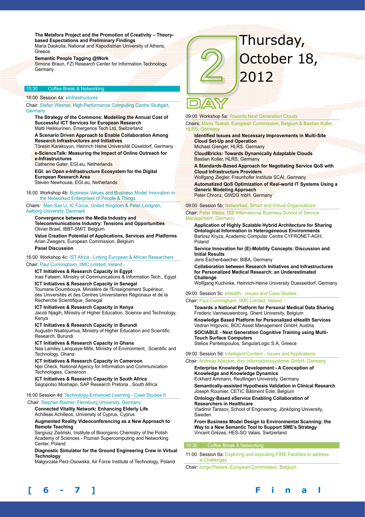**The Metafora Project and the Promotion of Creativity – Theorybased Expectations and Preliminary Findings**  Maria Daskolia, National and Kapodistrian University of Athens, Greece

**Semantic People Tagging @Work** 

Simone Braun, FZI Research Center for Information Technology, Germany

# Coffee Break & Networkin

16:00 Session 4a: eInfrastructures

Chair: Stefan Wesner, High Performance Computing Centre Stuttgart, **Germany** 

**The Strategy of the Commons: Modelling the Annual Cost of Successful ICT Services for European Research**  Matti Heikkurinen, Emergence Tech Ltd, Switzerland

**A Scenario Driven Approach to Enable Collaboration Among Research Infrastructures and Initiatives** 

Töresin Karakoyun, Heinrich Heine Universität Düseldorf, Germany **e-ScienceTalk: Measuring the Impact of Online Outreach for** 

**e-Infrastructures** 

Catherine Gater, EGI.eu, Netherlands

**EGI: an Open e-Infrastructure Ecosystem for the Digital European Research Area** 

Steven Newhouse, EGI.eu, Netherlands

16:00 Workshop 4b: Business Values and Business Model Innovation in the Networked Enterprises of People & Things

Chairs: Man-Sze Li, IC Focus, United Kingdom & Peter Lindgren, Aalborg University, Denmark

**Convergence between the Media Industry and Telecommunications Industry: Tensions and Opportunities**  Olivier Braet, IBBT-SMIT, Belgium

**Value Creation Potential of Applications, Services and Platforms**  Arian Zwegers, European Commission, Belgium **Panel Discussion** 

# 16:00 Workshop 4c: IST-Africa - Linking European & African Researchers

# Chair: Paul Cunningham, IIMC Limited, Ireland

# **ICT Initiatives & Research Capacity in Egypt**

Inas Fateem, Ministry of Communications & Information Tech., Egypt **ICT Initiatives & Research Capacity in Senegal** 

Toumane Doumbouya, Ministère de l'Enseignement Supérieur, des Universités et des Centres Universitaires Régionaux et de la Recherche Scientifique, Senegal

# **ICT Initiatives & Research Capacity in Kenya**

Jacob Njagih, Ministry of Higher Education, Science and Technology, Kenya

**ICT Initiatives & Research Capacity in Burundi**  Augustin Nsabiyumva, Ministry of Higher Education and Scientific Research, Burundi

**ICT Initiatives & Research Capacity in Ghana**

Naa Lamiley Lanquaye-Mills, Ministry of Environment, Scientific and Technology, Ghana

**ICT Initiatives & Research Capacity in Cameroon** 

Njei Check, National Agency for Information and Communication Technologies, Cameroon

**ICT Initiatives & Research Capacity in South Africa** Segopotso Moshapo, SAP Research Pretoria , South Africa

16:00 Session 4d: Technology-Enhanced Learning - Case Studies II

Chair: Stephan Raimer, Flensburg University, Germany

**Connected Vitality Network: Enhancing Elderly Life**  Achilleas Achilleos, University of Cyprus, Cyprus

#### **Augmented Reality Videoconferencing as a New Approach to Remote Teaching**

Sergiusz Zieliński, Institute of Bioorganic Chemistry of the Polish Academy of Sciences - Poznań Supercomputing and Networking Center, Poland

### **Diagnostic Simulator for the Ground Engineering Crew in Virtual Technology**

Małgorzata Perz-Osowska, Air Force Institute of Technology, Poland



09:00 Workshop 5a: Towards Next Generation Clouds

Chairs: Maria Tsakali, European Commission, Belgium & Bastian Koller, HLRS, Germany

**Identified Issues and Necessary Improvements in Multi-Site Cloud Set-Up and Operation**  Michael Gienger, HLRS, Germany

**CloudBricks: Towards Dynamically Adaptable Clouds**  Bastian Koller, HLRS, Germany

**A Standards-Based Approach for Negotiating Service QoS with Cloud Infrastructure Providers** 

Wolfgang Ziegler, Fraunhofer Institute SCAI, Germany

**Automatized QoS Optimization of Real-world IT Systems Using a Generic Modeling Approach**  Peter Chronz, GWDG mbH, Germany

09:00 Session 5b: Networked, Smart and Virtual Organisations

#### Chair: Peter Weiss, ISS International Business School of Service Management, Germany

**Application of Highly Scalable Hybrid Architecture for Sharing Ontological Information in Heterogeneous Environments**  Bartosz Kryza, Academic Computer Centre CYFRONET-AGH, Poland

**Service Innovation for (E)-Mobility Concepts: Discussion and Initial Results** 

Jens Eschenbaecher, BIBA, Germany

**Collaboration between Research Initiatives and Infrastructures for Personalized Medical Research: an Underestimated Challenge** 

Wolfgang Kuchinke, Heinrich-Heine University Duesseldorf, Germany

# 09:00 Session 5c: eHealth - Issues and Case Studies

# Chair: Paul Cunningham, IIMC Limited, Ireland

**Towards a National Platform for Personal Medical Data Sharing**  Frederic Vannieuwenborg, Ghent University, Belgium **Knowledge Based Platform for Personalized eHealth Services**  Vedran Hrgovcic, BOC Asset Management GmbH, Austria **SOCIABLE - Next Generation Cognitive Training using Multi-Touch Surface Computers** 

Stelios Pantelopoulos, SingularLogic S.A, Greece

# 09:00 Session 5d: Intelligent Content - Issues and Applications

Chair: Andreas Abecker, disy Informationssysteme GmbH, Germany

**Enterprise Knowledge Development - A Conception of Knowledge and Knowledge Dynamics**  Eckhard Ammann, Reutlingen University, Germany

**Semantically-assisted Hypothesis Validation in Clinical Research**  Joseph Roumier, CETIC Bâtiment Éole, Belgium

**Ontology-Based eService Enabling Collaboration of Researchers in Healthcare** 

Vladimir Tarasov, School of Engineering, Jönköping University, Sweden

**From Business Model Design to Environmental Scanning: the Way to a New Semantic Tool to Support SME's Strategy**  Vincent Grèzes, HES-SO Valais, Switzerland

#### 10:30 Coffee Break & Networking

11:00 Session 6a: Exploring and exploiting FIRE Facilities to address e-Challenges

Chair: Jorge Pereira, European Commission, Belgium



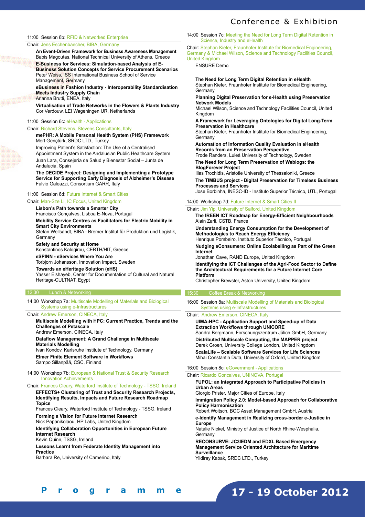#### 11:00 Session 6b: RFID & Networked Enterprise

#### Chair: Jens Eschenbaecher, BIBA, Germany

**An Event-Driven Framework for Business Awareness Management**  Babis Magoutas, National Technical University of Athens, Greece

**E-Business for Services: Simulation-based Analysis of E-Business Solution Concepts for Service Procurement Scenarios**  Peter Weiss, ISS International Business School of Service Management, Germany

**eBusiness in Fashion Industry - Interoperability Standardisation Meets Industry Supply Chain**  Arianna Brutti, ENEA, Italy

**Virtualisation of Trade Networks in the Flowers & Plants Industry**  Cor Verdouw, LEI Wageningen UR, Netherlands

#### 11:00 Session 6c: eHealth - Applications

#### Chair: Richard Stevens, Stevens Consultants, Italy

**mePHR: A Mobile Personal Health System (PHS) Framework**  Mert Gençtürk, SRDC LTD., Turkey Improving Patient's Satisfaction: The Use of a Centralised Appointment System in the Andalusian Public Healthcare System

Juan Lara, Consejería de Salud y Bienestar Social – Junta de Andalucia, Spain

**The DECIDE Project: Designing and Implementing a Prototype Service for Supporting Early Diagnosis of Alzheimer's Disease**  Fulvio Galeazzi, Consortium GARR, Italy

#### 11:00 Session 6d: Future Internet & Smart Cities

Chair: Man-Sze Li, IC Focus, United Kingdom **Lisbon's Path towards a Smarter City**  Francisco Gonçalves, Lisboa E-Nova, Portugal **Mobility Service Centres as Facilitators for Electric Mobility in Smart City Environments**  Stefan Wellsandt, BIBA - Bremer Institut für Produktion und Logistik, **Germany Safety and Security at Home**  Konstantinos Kalogirou, CERTH/HIT, Greece

**eSPINN - eServices Where You Are**

Torbjorn Johansson, Innovation Impact, Sweden

# **Towards an eHeritage Solution (eHS)**

Yasser Elshayeb, Center for Documentation of Cultural and Natural Heritage-CULTNAT, Egypt

# 12:30 Lunch & Networking

14:00 Workshop 7a: Multiscale Modelling of Materials and Biological Systems using e-Infrastructures

# Chair: Andrew Emerson, CINECA, Italy

**Multiscale Modelling with HPC: Current Practice, Trends and the Challenges of Petascale**  Andrew Emerson, CINECA, Italy

**Dataflow Management: A Grand Challenge in Multiscale** 

**Materials Modelling**  Ivan Kondov, Karlsruhe Institute of Technology, Germany **Elmer Finite Element Software in Workflows**  Sampo Sillanpää, CSC, Finland

## 14:00 Workshop 7b: European & National Trust & Security Research Innovation Achievements

Chair: Frances Cleary, Waterford Institute of Technology - TSSG, Ireland **EFFECTS+ Clustering of Trust and Security Research Projects, Identifying Results, Impacts and Future Research Roadmap Topics** 

Frances Cleary, Waterford Institute of Technology - TSSG, Ireland **Forming a Vision for Future Internet Research** 

Nick Papanikolaou, HP Labs, United Kingdom

**Identifying Collaboration Opportunities in European Future Internet Research** 

Kevin Quinn, TSSG, Ireland

**[ 6 - 7 ] F i n a l P r o g r a m m e**

**Lessons Learnt from Federate Identity Management into Practice** 

Barbara Re, University of Camerino, Italy

#### 14:00 Session 7c: Meeting the Need for Long Term Digital Retention in Science, Industry and eHealth

Chair: Stephan Kiefer, Fraunhofer Institute for Biomedical Engineering, Germany & Michael Wilson, Science and Technology Facilities Council, United Kingdom

ENSURE Demo

**The Need for Long Term Digital Retention in eHealth**  Stephan Kiefer, Fraunhofer Institute for Biomedical Engineering, Germany

#### **Planning Digital Preservation for e-Health using Preservation Network Models**

Michael Wilson, Science and Technology Facilities Council, United Kingdom

**A Framework for Leveraging Ontologies for Digital Long-Term Preservation in Healthcare** 

Stephan Kiefer, Fraunhofer Institute for Biomedical Engineering, **Germany** 

**Automation of Information Quality Evaluation in eHealth Records from an Preservation Perspective**  Frode Randers, Luleå University of Technology, Sweden

**The Need for Long Term Preservation of Weblogs: the BlogForever Project** 

Ilias Trochidis, Aristotle University of Thessaloniki, Greece

**The TIMBUS project - Digital Preservation for Timeless Business Processes and Services**  Jose Borbinha, INESC-ID - Instituto Superior Técnico, UTL, Portugal

14:00 Workshop 7d: Future Internet & Smart Cities II

# Chair: Jim Yip, University of Salford, United Kingdom

**The IREEN ICT Roadmap for Energy-Efficient Neighbourhoods**  Alain Zarli, CSTB, France

**Understanding Energy Consumption for the Development of Methodologies to Reach Energy Efficiency**  Henrique Pombeiro, Instituto Superior Técnico, Portugal

**Nudging eConsumers: Online Ecolabelling as Part of the Green Internet** 

Jonathan Cave, RAND Europe, United Kingdom **Identifying the ICT Challenges of the Agri-Food Sector to Define the Architectural Requirements for a Future Internet Core Platform** 

Christopher Brewster, Aston University, United Kingdom

#### 15:30 Coffee Break & Networking

16:00 Session 8a: Multiscale Modelling of Materials and Biological Systems using e-Infrastructures

Chair: Andrew Emerson, CINECA, Italy

**UIMA-HPC - Application Support and Speed-up of Data Extraction Workflows through UNICORE**  Sandra Bergmann, Forschungszentrum Jülich GmbH, Germany **Distributed Multiscale Computing, the MAPPER project**  Derek Groen, University College London, United Kingdom **ScalaLife – Scalable Software Services for Life Sciences**  Mihai Constantin Duta, University of Oxford, United Kingdom

# 16:00 Session 8c: eGovernment - Applications

Chair: Ricardo Goncalves, UNINOVA, Portugal **FUPOL: an Integrated Approach to Participative Policies in Urban Areas**  Giorgio Prister, Major Cities of Europe, Italy **Immigration Policy 2.0: Model-based Approach for Collaborative Policy Harmonisation**  Robert Woitsch, BOC Asset Management GmbH, Austria **e-Identify Management in Realizing cross-border e-Justice in Europe**  Natalie Nickel, Ministry of Justice of North Rhine-Wesphalia, **Germany RECONSURVE: JC3IEDM and EDXL Based Emergency Management Service Oriented Architecture for Maritime Surveillance**  Yildiray Kabak, SRDC LTD., Turkey

**17 - 19 October 2012**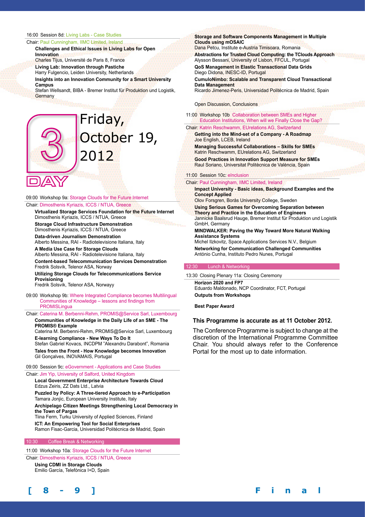## 16:00 Session 8d: Living Labs - Case Studies

#### Chair: Paul Cunningham, IIMC Limited, Ireland

**Challenges and Ethical Issues in Living Labs for Open Innovation**  Charles Tijus, Université de Paris 8, France

**Living Lab: Innovation through Pastiche** 

Harry Fulgencio, Leiden University, Netherlands

**Insights into an Innovation Community for a Smart University Campus** 

Stefan Wellsandt, BIBA - Bremer Institut für Produktion und Logistik, **Germany** 

# Friday, October 19, 2012

09:00 Workshop 9a: Storage Clouds for the Future Internet Chair: Dimosthenis Kyriazis, ICCS / NTUA, Greece

**Virtualized Storage Services Foundation for the Future Internet**  Dimosthenis Kyriazis, ICCS / NTUA, Greece **Storage Cloud Infrastructure Demonstration**  Dimosthenis Kyriazis, ICCS / NTUA, Greece **Data-driven Journalism Demonstration**  Alberto Messina, RAI - Radiotelevisione Italiana, Italy

**A Media Use Case for Storage Clouds**  Alberto Messina, RAI - Radiotelevisione Italiana, Italy **Content-based Telecommunication Services Demonstration**  Fredrik Solsvik, Telenor ASA, Norway **Utilizing Storage Clouds for Telecommunications Service Provisioning** 

Fredrik Solsvik, Telenor ASA, Norwayy

09:00 Workshop 9b: Where Integrated Compliance becomes Multilingual Communities of Knowledge – lessons and findings from **PROMISLingua** 

# Chair: Caterina M. Berbenni-Rehm, PROMIS@Service Sarl, Luxembourg

**Communities of Knowledge in the Daily Life of an SME - The PROMIS® Example** 

Caterina M. Berbenni-Rehm, PROMIS@Service Sarl, Luxembourg **E-learning Compliance - New Ways To Do It** 

Stefan Gabriel Kovacs, INCDPM "Alexandru Darabont", Romania **Tales from the Front - How Knowledge becomes Innovation**  Gil Gonçalves, INOVAMAIS, Portugal

09:00 Session 9c: eGovernment - Applications and Case Studies

#### Chair: Jim Yip, University of Salford, United Kingdom

**Local Government Enterprise Architecture Towards Cloud**  Edzus Zeiris, ZZ Dats Ltd., Latvia **Puzzled by Policy: A Three-tiered Approach to e-Participation**  Tamara Jonjic, European University Institute, Italy **Archipelago Citizen Meetings Strengthening Local Democracy in the Town of Pargas** 

Tiina Ferm, Turku University of Applied Sciences, Finland **ICT: An Empowering Tool for Social Enterprises**  Ramon Fisac-Garcia, Universidad Politécnica de Madrid, Spain

# 10:30 Coffee Break & Networking

11:00 Workshop 10a: Storage Clouds for the Future Internet Chair: Dimosthenis Kyriazis, ICCS / NTUA, Greece

**Using CDMI in Storage Clouds**  Emilio García, Telefónica I+D, Spain **Storage and Software Components Management in Multiple Clouds using mOSAIC** 

Dana Petcu, Institute e-Austria Timisoara, Romania **Abstractions for Trusted Cloud Computing: the TClouds Approach**  Alysson Bessani, University of Lisbon, FFCUL, Portugal

**QoS Management in Elastic Transactional Data Grids**  Diego Didona, INESC-ID, Portugal

**CumuloNimbo: Scalable and Transparent Cloud Transactional Data Management**  Ricardo Jimenez-Peris, Universidad Politécnica de Madrid, Spain

#### Open Discussion, Conclusions

11:00 Workshop 10b Collaboration between SMEs and Higher Education Institutions, When will we Finally Close the Gap?

Chair: Katrin Reschwamm, EUrelations AG, Switzerland **Getting into the Mind-set of a Company - A Roadmap**  Joe English, LCEB, Ireland

**Managing Successful Collaborations – Skills for SMEs**  Katrin Reschwamm, EUrelations AG, Switzerland **Good Practices in Innovation Support Measure for SMEs**  Raul Soriano, Universitat Politècnica de València, Spain

## 11:00 Session 10c: eInclusion

Chair: Paul Cunningham, IIMC Limited, Ireland **Impact University - Basic ideas, Background Examples and the Concept Applied**  Olov Forsgren, Borås University College, Sweden **Using Serious Games for Overcoming Separation between Theory and Practice in the Education of Engineers**  Jannicke Baalsrud Hauge, Bremer Institut für Produktion und Logistik GmbH, Germany **MINDWALKER: Paving the Way Toward More Natural Walking Assistance Systems**  Michel Ilzkovitz, Space Applications Services N.V., Belgium **Networking for Communication Challenged Communities**  António Cunha, Instituto Pedro Nunes, Portugal

#### 12:30 Lunch & Networking

13:30 Closing Plenary 11a: Closing Ceremony

**Horizon 2020 and FP7**  Eduardo Maldonado, NCP Coordinator, FCT, Portugal **Outputs from Workshops**

**Best Paper Award**

#### **This Programme is accurate as at 11 October 2012.**

The Conference Programme is subject to change at the discretion of the International Programme Committee Chair. You should always refer to the Conference Portal for the most up to date information.